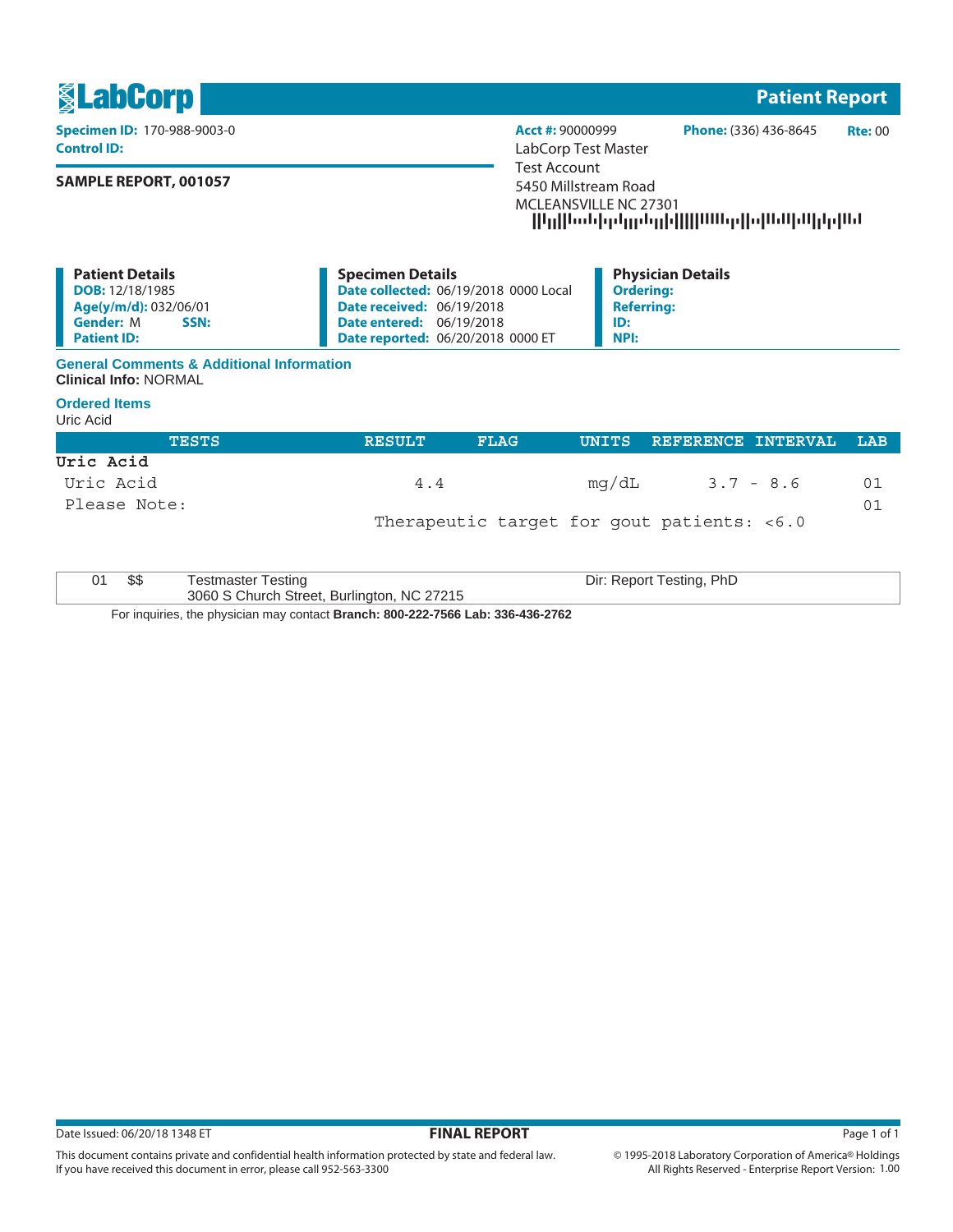

**NPI:**

## **General Comments & Additional Information Clinical Info:** NORMAL

## **Ordered Items**

**Patient ID:**

Uric Acid

| <b>TESTS</b> | <b>RESULT</b> | <b>FLAG</b> |                                            | UNITS REFERENCE INTERVAL LAB |    |
|--------------|---------------|-------------|--------------------------------------------|------------------------------|----|
| Uric Acid    |               |             |                                            |                              |    |
| Uric Acid    | 4.4           |             | mg/dL                                      | $3.7 - 8.6$                  | 01 |
| Please Note: |               |             |                                            |                              | 01 |
|              |               |             | Therapeutic target for gout patients: <6.0 |                              |    |

**Date reported:** 06/20/2018 0000 ET

|  | Testmaster Testing                                                              | Dir: Report Testing, PhD |
|--|---------------------------------------------------------------------------------|--------------------------|
|  |                                                                                 |                          |
|  | 3060 S Church Street, Burlington, NC 27215                                      |                          |
|  | For inquiries, the physician may contact Branch: 800-222-7566 Lab: 336-436-2762 |                          |

Date Issued: 06/20/18 1348 ET **FINAL REPORT** Page 1 of 1